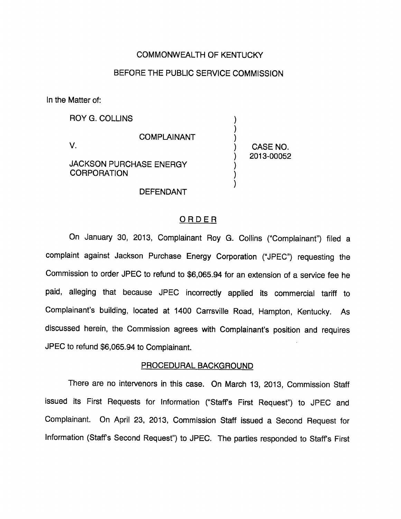# COMMONWEALTH OF KENTUCKY

# BEFORE THE PUBLIC SERVICE COMMISSION

In the Matter of:

ROY G. COLLINS

V.

COMPLAINANT

CASE NO. 2013-00052

JACKSON PURCHASE ENERGY **CORPORATION** 

DEFENDANT

# ORDER

On January 30, 2013, Complainant Roy G. Collins ("Complainant") filed a complaint against Jackson Purchase Energy Corporation ("JPEC") requesting the Commission to order JPEC to refund to \$6,065.94 for an extension of a service fee he paid, alleging that because JPEC incorrectly applied its commercial tariff to Complainant's building, located at 1400 Carrsville Road, Hampton, Kentucky. As discussed herein, the Commission agrees with Complainant's position and requires JPEC to refund \$6,065.94 to Complainant.

## PROCEDURAL BACKGROUND

There are no intervenors in this case. On March 13, 2013, Commission Staff issued its First Requests for Information ("Staff's First Request") to JPEC and Complainant. On April 23, 2013, Commission Staff issued a Second Request for Information (Staffs Second Request") to JPEC. The parties responded to Staffs First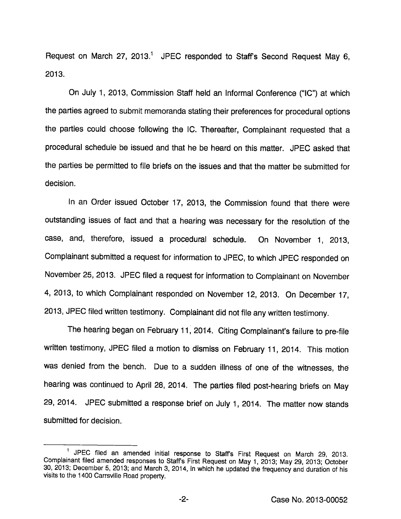Request on March 27, 2013.<sup>1</sup> JPEC responded to Staff's Second Request May 6, 2013.

On July 1, 2013, Commission Staff held an Informal Conference ("10") at which the parties agreed to submit memoranda stating their preferences for procedural options the parties could choose following the IC. Thereafter, Complainant requested that a procedural schedule be issued and that he be heard on this matter. JPEC asked that the parties be permitted to file briefs on the issues and that the matter be submitted for decision.

In an Order issued October 17, 2013, the Commission found that there were outstanding issues of fact and that a hearing was necessary for the resolution of the case, and, therefore, issued a procedural schedule. On November 1, 2013, Complainant submitted a request for information to JPEC, to which JPEC responded on November 25, 2013. JPEC filed a request for information to Complainant on November 4, 2013, to which Complainant responded on November 12, 2013. On December 17, 2013, JPEC filed written testimony. Complainant did not file any written testimony.

The hearing began on February 11, 2014. Citing Complainant's failure to pre-file written testimony, JPEC filed a motion to dismiss on February 11, 2014. This motion was denied from the bench. Due to a sudden illness of one of the witnesses, the hearing was continued to April 28, 2014. The parties filed post-hearing briefs on May 29, 2014. JPEC submitted a response brief on July 1, 2014. The matter now stands submitted for decision.

<sup>&</sup>lt;sup>1</sup> JPEC filed an amended initial response to Staff's First Request on March 29, 2013. Complainant filed amended responses to Staffs First Request on May 1, 2013; May 29, 2013; October 30, 2013; December 5, 2013; and March 3, 2014, in which he updated the frequency and duration of his visits to the 1400 Carrsville Road property.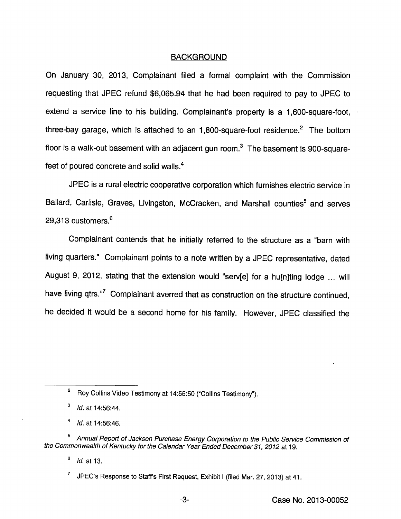## BACKGROUND

On January 30, 2013, Complainant filed a fomnai complaint with the Commission requesting that JPEC refund \$6,065.94 that he had been required to pay to JPEC to extend a service line to his building. Complainant's property is a 1,600-square-foot, three-bay garage, which is attached to an  $1,800$ -square-foot residence.<sup>2</sup> The bottom floor is a walk-out basement with an adjacent gun room. $<sup>3</sup>$  The basement is 900-square-</sup> feet of poured concrete and solid walls.<sup>4</sup>

JPEC is a rural electric cooperative corporation which furnishes electric service in Ballard, Carlisle, Graves, Livingston, McCracken, and Marshall counties<sup>5</sup> and serves 29,313 customers.®

Complainant contends that he initially referred to the structure as a "barn with living quarters." Complainant points to a note written by a JPEC representative, dated August 9, 2012, stating that the extension would "serv[e] for a hu[n]ting lodge ... will have living qtrs."<sup>7</sup> Complainant averred that as construction on the structure continued, he decided it would be a second home for his family. However, JPEC classified the

Roy Collins Video Testimony at 14:55:50 ("Collins Testimony").

 $^3$  Id. at 14:56:44.

ld. at 14:56:46.

Annual Report of Jackson Purchase Energy Corporation to the Public Service Commission of the Commonwealth of Kentucky for the Calendar Year Ended December 31, 2012 at 19.

 $<sup>6</sup>$  *ld.* at 13.</sup>

JPEC's Response to Staff's First Request, Exhibit I (filed Mar. 27, 2013) at 41.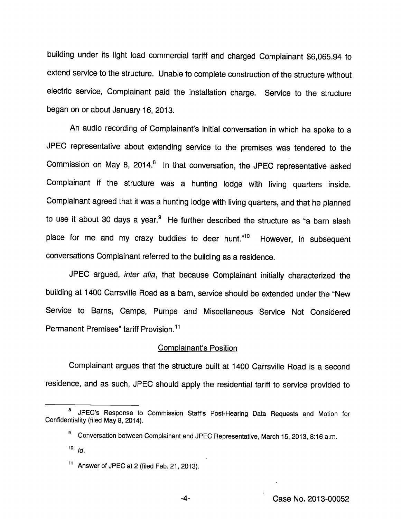building under its light load commercial tariff and charged Compiainant \$6,065.94 to extend service to the structure. Unable to complete construction of the structure without electric service, Compiainant paid the installation charge. Service to the structure began on or about January 16, 2013.

An audio recording of Complainant's initial conversation in which he spoke to a JPEC representative about extending service to the premises was tendered to the Commission on May 8, 2014.° in that conversation, the JPEC representative asked Compiainant if the structure was a hunting lodge with living quarters inside. Complainant agreed that it was a hunting lodge with living quarters, and that he planned to use it about 30 days a year.<sup>9</sup> He further described the structure as "a barn slash place for me and my crazy buddies to deer hunt."<sup>10</sup> However, in subsequent conversations Compiainant referred to the building as a residence.

JPEC argued, inter alia, that because Compiainant initially characterized the building at 1400 Carrsviiie Road as a barn, service should be extended under the "New Service to Barns, Camps, Pumps and Miscellaneous Service Not Considered Permanent Premises" tariff Provision.<sup>11</sup>

#### Complainant's Position

Complainant argues that the structure built at 1400 Carrsviiie Road is a second residence, and as such, JPEC should apply the residential tariff to service provided to

JPEC's Response to Commission Staff's Post-Hearing Data Requests and Motion for Confidentiality (filed May 8, 2014).

<sup>&</sup>lt;sup>9</sup> Conversation between Complainant and JPEC Representative, March 15, 2013, 8:16 a.m.

 $10$   $ld$ .

<sup>&</sup>lt;sup>11</sup> Answer of JPEC at 2 (filed Feb. 21, 2013).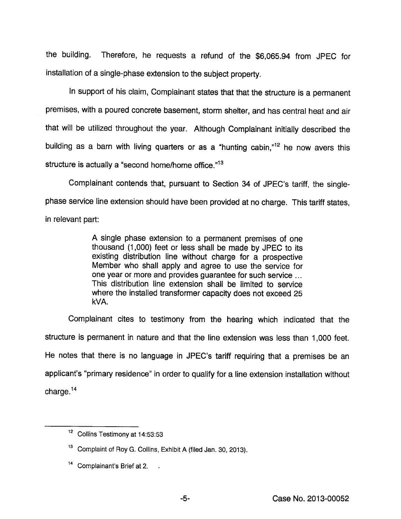the building. Therefore, he requests a refund of the \$6,065.94 from JPEC for installation of a single-phase extension to the subject property.

In support of his claim. Complainant states that that the structure is a permanent premises, with a poured concrete basement, storm shelter, and has central heat and air that will be utilized throughout the year. Although Complainant initially described the building as a barn with living quarters or as a "hunting cabin," $12$  he now avers this structure is actually a "second home/home office."<sup>13</sup>

Complainant contends that, pursuant to Section 34 of JPEC's tariff, the singlephase service line extension should have been provided at no charge. This tariff states, in relevant part:

> A single phase extension to a permanent premises of one thousand (1,000) feet or less shall be made by JPEC to its existing distribution line without charge for a prospective Member who shall apply and agree to use the service for one year or more and provides guarantee for such service ... This distribution line extension shall be limited to service where the installed transformer capacity does not exceed 25 kVA.

Complainant cites to testimony from the hearing which indicated that the structure is permanent in nature and that the line extension was less than 1,000 feet. He notes that there is no language in JPEC's tariff requiring that a premises be an applicant's "primary residence" in order to qualify for a line extension installation without charge. $14$ 

<sup>&</sup>lt;sup>12</sup> Collins Testimony at 14:53:53

<sup>&</sup>lt;sup>13</sup> Complaint of Roy G. Collins, Exhibit A (filed Jan. 30, 2013).

 $14$  Complainant's Brief at 2.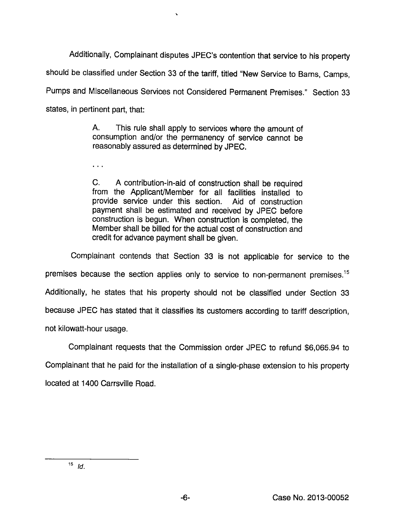Additionally, Complainant disputes JPEC's contention that service to his property should be classified under Section 33 of the tariff, titled "New Service to Barns, Camps, Pumps and Miscellaneous Services not Considered Permanent Premises." Section 33 states, in pertinent part, that:

> A. This rule shall apply to services where the amount of consumption and/or the permanency of service cannot be reasonably assured as determined by JPEC.

 $\ddotsc$ 

C. A contribution-in-aid of construction shall be required from the Applicant/Member for all facilities installed to provide service under this section. Aid of construction payment shall be estimated and received by JPEC before construction is begun. When construction is completed, the Member shall be billed for the actual cost of construction and credit for advance payment shall be given.

Complainant contends that Section 33 is not applicable for service to the premises because the section applies only to service to non-permanent premises.<sup>15</sup> Additionally, he states that his property should not be classified under Section 33 because JPEC has stated that it classifies its customers according to tariff description, not kilowatt-hour usage.

Complainant requests that the Commission order JPEC to refund \$6,065.94 to Complainant that he paid for the installation of a single-phase extension to his property located at 1400 Carrsville Road.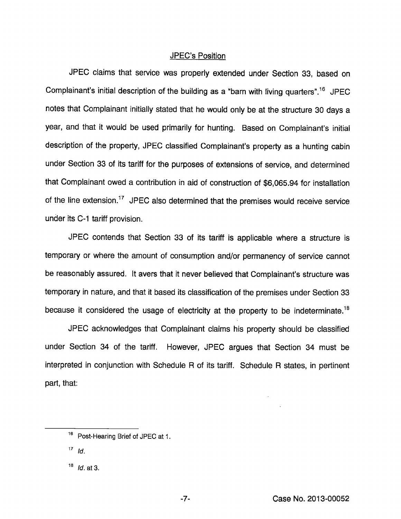## JPEC's Position

JPEC claims that service was properly extended under Section 33, based on Complainant's initial description of the building as a "barn with living quarters".<sup>16</sup> JPEC notes that Complainant initially stated that he would only be at the structure 30 days a year, and that it would be used primarily for hunting. Based on Complainant's initial description of the property, JPEC classified Complainant's property as a hunting cabin under Section 33 of its tariff for the purposes of extensions of service, and determined that Complainant owed a contribution in aid of construction of \$6,065.94 for installation of the line extension.<sup>17</sup> JPEC also determined that the premises would receive service under its C-1 tariff provision.

JPEC contends that Section 33 of its tariff is applicable where a structure is temporary or where the amount of consumption and/or permanency of service cannot be reasonably assured. It avers that it never believed that Complainant's structure was temporary in nature, and that it based its classification of the premises under Section 33 because it considered the usage of electricity at the property to be indeterminate.<sup>18</sup>

JPEC acknowledges that Complainant claims his property should be classified under Section 34 of the tariff. However, JPEC argues that Section 34 must be interpreted in conjunction with Schedule R of its tariff. Schedule R states, in pertinent part, that:

<sup>&</sup>lt;sup>16</sup> Post-Hearing Brief of JPEC at 1.

 $17$  Id.

 $18$  *Id.* at 3.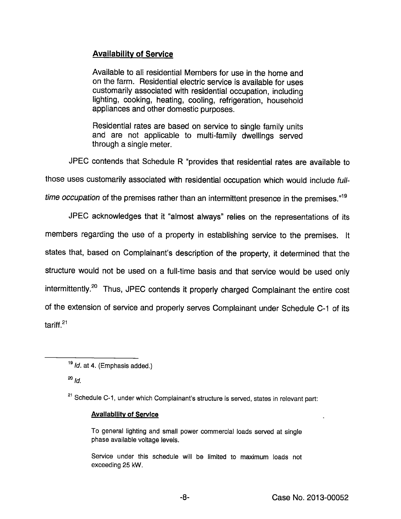# Availability of Service

Available to all residential Members for use in the home and on the farm. Residential electric service is available for uses customarily associated with residential occupation, including lighting, cooking, heating, cooling, refrigeration, household appliances and other domestic purposes.

Residential rates are based on service to single family units and are not applicable to multi-family dwellings served through a single meter.

JPEC contends that Schedule R "provides that residential rates are available to

those uses customarily associated with residential occupation which would include full-

time occupation of the premises rather than an intermittent presence in the premises."<sup>19</sup>

JPEC acknowledges that it "almost always" relies on the representations of its

members regarding the use of a property in establishing service to the premises. It states that, based on Complainant's description of the property, it determined that the structure would not be used on a full-time basis and that service would be used only intermittently.<sup>20</sup> Thus, JPEC contends it properly charged Complainant the entire cost of the extension of service and properly serves Complainant under Schedule C-1 of its tariff. $21$ 

 $^{20}$   $\overline{ld}$ .

## **Avallability of Service**

To general lighting and small power commercial loads served at single phase available voltage levels.

Service under this schedule will be limited to maximum loads not exceeding 25 kW.

 $19$  *ld.* at 4. (Emphasis added.)

<sup>&</sup>lt;sup>21</sup> Schedule C-1, under which Complainant's structure is served, states in relevant part: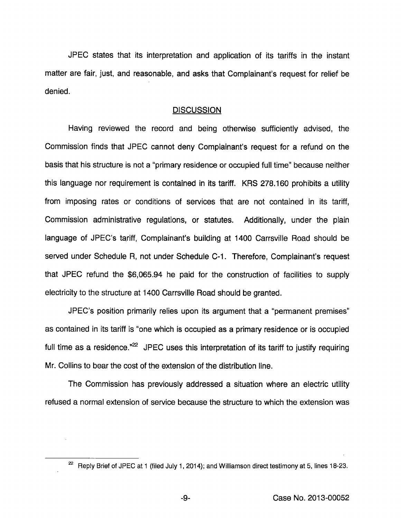JPEG states that its interpretation and application of its tariffs in the instant matter are fair, just, and reasonable, and asks that Complainant's request for relief be denied.

# **DISCUSSION**

Having reviewed the record and being otherwise sufficiently advised, the Commission finds that JPEC cannot deny Complainant's request for a refund on the basis that his structure is not a "primary residence or occupied full time" because neither this language nor requirement is contained in its tariff. KRS 278.160 prohibits a utility from imposing rates or conditions of services that are not contained in its tariff, Commission administrative regulations, or statutes. Additionally, under the plain language of JPEC's tariff. Complainant's building at 1400 Carrsville Road should be served under Schedule R, not under Schedule C-1. Therefore, Complainant's request that JPEC refund the \$6,065.94 he paid for the construction of facilities to supply electricity to the structure at 1400 Carrsville Road should be granted.

JPEC's position primarily relies upon its argument that a "permanent premises" as contained in its tariff is "one which is occupied as a primary residence or is occupied full time as a residence." $2$  JPEC uses this interpretation of its tariff to justify requiring Mr. Collins to bear the cost of the extension of the distribution line.

The Commission has previously addressed a situation where an electric utility refused a normal extension of service because the structure to which the extension was

 $^{22}$  Reply Brief of JPEC at 1 (filed July 1, 2014); and Williamson direct testimony at 5, lines 18-23.

-9-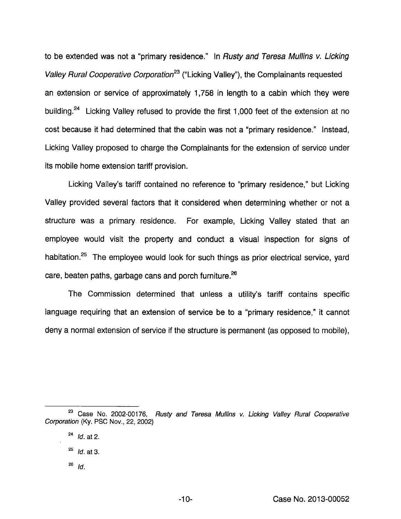to be extended was not a "primary residence." In Rusty and Teresa Mullins v. Licking Valley Rural Cooperative Corporation<sup>23</sup> ("Licking Valley"), the Complainants requested an extension or service of approximately 1,758 in length to a cabin which they were building.<sup>24</sup> Licking Valley refused to provide the first 1,000 feet of the extension at no cost because it had determined that the cabin was not a "primary residence." Instead, Licking Valley proposed to charge the Complainants for the extension of service under its mobile home extension tariff provision.

Licking Valley's tariff contained no reference to "primary residence," but Licking Valley provided several factors that it considered when determining whether or not a structure was a primary residence. For example. Licking Valley stated that an employee would visit the property and conduct a visual inspection for signs of habitation.<sup>25</sup> The employee would look for such things as prior electrical service, yard care, beaten paths, garbage cans and porch furniture. $26$ 

The Commission determined that unless a utility's tariff contains specific language requiring that an extension of service be to a "primary residence," it cannot deny a normal extension of service if the structure is permanent (as opposed to mobile).

 $^{26}$  Id.

 $23$  Case No. 2002-00176, Rusty and Teresa Mullins v. Licking Valley Rural Cooperative Corporation (Ky. PSO Nov., 22, 2002)

 $^{24}$  *Id.* at 2.

 $^{25}$  Id. at 3.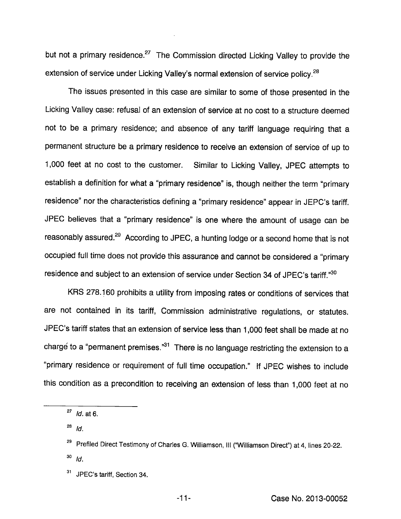but not a primary residence.<sup>27</sup> The Commission directed Licking Valley to provide the extension of service under Licking Valley's normal extension of service policy.<sup>28</sup>

The issues presented in this case are similar to some of those presented in the Licking Valley case: refusal of an extension of service at no cost to a structure deemed not to be a primary residence; and absence of any tariff language requiring that a permanent structure be a primary residence to receive an extension of service of up to 1,000 feet at no cost to the customer. Similar to Licking Valley, JPEG attempts to establish a definition for what a "primary residence" is, though neither the term "primary residence" nor the characteristics defining a "primary residence" appear in JEPC's tariff. JPEG believes that a "primary residence" is one where the amount of usage can be reasonably assured.<sup>29</sup> According to JPEC, a hunting lodge or a second home that is not occupied full time does not provide this assurance and cannot be considered a "primary residence and subject to an extension of service under Section 34 of JPEC's tariff."30

KRS 278.160 prohibits a utility from imposing rates or conditions of services that are not contained in its tariff, Gommission administrative regulations, or statutes. JPEC's tariff states that an extension of service less than 1,000 feet shall be made at no charge to a "permanent premises."<sup>31</sup> There is no language restricting the extension to a "primary residence or requirement of full time occupation." If JPEG wishes to include this condition as a precondition to receiving an extension of less than 1,000 feet at no

<sup>&</sup>lt;sup>27</sup> *ld.* at 6.

 $^{28}$  Id.

<sup>&</sup>lt;sup>29</sup> Prefiled Direct Testimony of Charles G. Williamson, III ("Williamson Direct") at 4, lines 20-22.  $^{30}$  Id.

 $31$ JPEG's tariff, Section 34.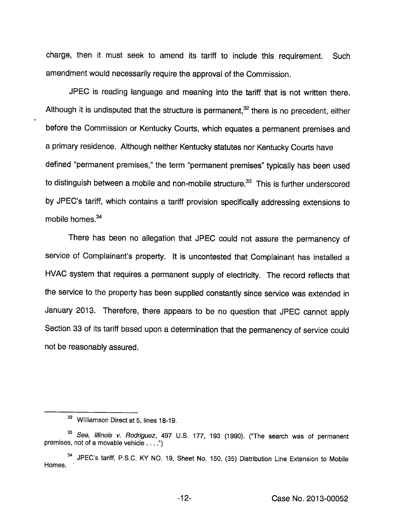charge, then it must seek to amend its tariff to include this requirement. Such amendment wouid necessariiy require the approvai of the Commission.

JPEC is reading language and meaning into the tariff that is not written there. Although it is undisputed that the structure is permanent, $32$  there is no precedent, either before the Commission or Kentucky Courts, which equates a permanent premises and a primary residence. Although neither Kentucky statutes nor Kentucky Courts have defined "permanent premises," the term "permanent premises" typically has been used to distinguish between a mobile and non-mobile structure. $33$  This is further underscored by JPEC's tariff, which contains a tariff provision specifically addressing extensions to mobile homes.<sup>34</sup>

There has been no allegation that JPEC could not assure the permanency of service of Complainant's property. It is uncontested that Complainant has installed a HVAC system that requires a permanent supply of electricity. The record reflects that the service to the property has been supplied constantly since service was extended in January 2013. Therefore, there appears to be no question that JPEC cannot apply Section 33 of its tariff based upon a determination that the permanency of service could not be reasonably assured.

<sup>&</sup>lt;sup>32</sup> Williamson Direct at 5, lines 18-19.

<sup>&</sup>lt;sup>33</sup> See, Illinois v. Rodriguez, 497 U.S. 177, 193 (1990). ("The search was of permanent premises, not of a movable vehicle . . . .")

<sup>&</sup>lt;sup>34</sup> JPEC's tariff, P.S.C. KY NO. 19, Sheet No. 150, (35) Distribution Line Extension to Mobile Homes.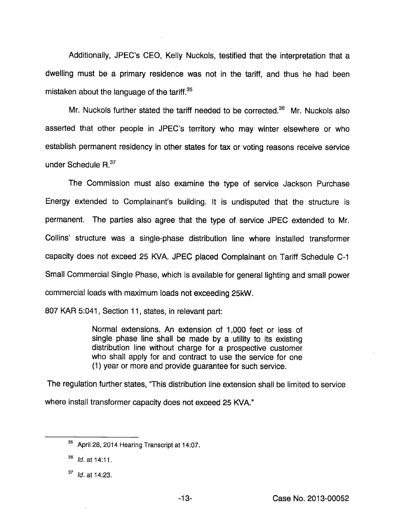Additionally, JPEC's CEO, Kelly Nuckols, testified that the interpretation that a dwelling must be a primary residence was not in the tariff, and thus he had been mistaken about the language of the tariff. $35$ 

Mr. Nuckols further stated the tariff needed to be corrected. $36$  Mr. Nuckols also asserted that other people in JPEC's territory who may winter elsewhere or who establish permanent residency in other states for tax or voting reasons receive service under Schedule R.<sup>37</sup>

The Commission must also examine the type of service Jackson Purchase Energy extended to Complainant's building. It is undisputed that the structure is permanent. The parties also agree that the type of service JPEC extended to Mr. Collins' structure was a single-phase distribution line where installed transformer capacity does not exceed 25 KVA. JPEC placed Complainant on Tariff Schedule C-1 Small Commercial Single Phase, which is available for general lighting and small power commercial loads with maximum loads not exceeding 25kW.

807 KAR 5:041, Section 11, states, in relevant part:

Normal extensions. An extension of 1,000 feet or less of single phase line shall be made by a utility to its existing distribution line without charge for a prospective customer who shall apply for and contract to use the service for one (1) year or more and provide guarantee for such service.

The regulation further states, "This distribution line extension shall be limited to service where install transformer capacity does not exceed 25 KVA."

<sup>&</sup>lt;sup>35</sup> April 28, 2014 Hearing Transcript at 14:07.

 $^{36}$  *ld.* at 14:11.

 $37$  *ld.* at 14:23.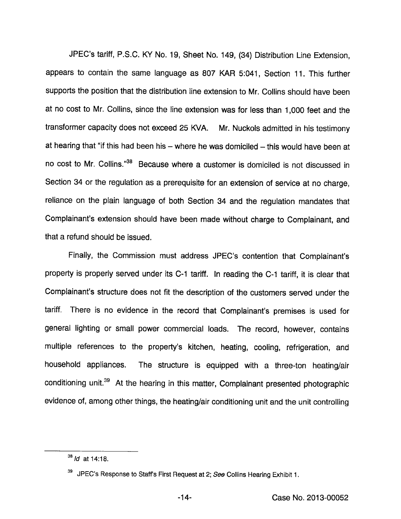JPEC's tariff, P.S.C. KY No. 19, Sheet No. 149, (34) Distribution Line Extension, appears to contain the same language as 807 KAR 5:041, Section 11. This further supports the position that the distribution line extension to Mr. Collins should have been at no cost to Mr. Collins, since the line extension was for less than 1,000 feet and the transformer capacity does not exceed 25 KVA. Mr. Nuckols admitted in histestimony at hearing that "if this had been his  $-$  where he was domiciled  $-$  this would have been at no cost to Mr. Collins."<sup>38</sup> Because where a customer is domiciled is not discussed in Section 34 or the regulation as a prerequisite for an extension of service at no charge, reliance on the plain language of both Section 34 and the regulation mandates that Complainant's extension should have been made without charge to Complainant, and that a refund should be issued.

Finally, the Commission must address JPEC's contention that Complainant's property is properly served under its C-1 tariff. In reading the C-1 tariff, it is clear that Complainant's structure does not fit the description of the customers served under the tariff. There is no evidence in the record that Complainant's premises is used for general lighting or small power commercial loads. The record, however, contains multiple references to the property's kitchen, heating, cooling, refrigeration, and household appliances. The structure is equipped with a three-ton heating/air conditioning unit.<sup>39</sup> At the hearing in this matter, Complainant presented photographic evidence of, among other things, the heating/air conditioning unit and the unit controlling

 $38$  *Id* at 14:18.

 $39$  JPEC's Response to Staffs First Request at 2; See Collins Hearing Exhibit 1.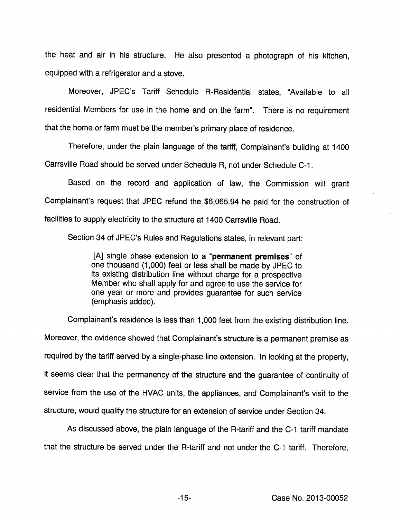the heat and air in his structure. He also presented a photograph of his kitchen, equipped with a refrigerator and a stove.

Moreover, JPEC's Tariff Scheduie R-Residentiai states, "Available to all residential Members for use in the home and on the farm". There is no requirement that the home or farm must be the member's primary place of residence.

Therefore, under the plain language of the tariff. Complainant's building at 1400 Carrsviiie Road should be served under Scheduie R, not under Scheduie 0-1.

Based on the record and application of law, the Commission will grant Complainant's request that JPEC refund the \$6,065.94 he paid for the construction of facilities to supply electricity to the structure at 1400 Carrsviiie Road.

Section 34 of JPEC's Rules and Regulations states, in relevant part:

[A] single phase extension to a "permanent premises" of one thousand (1,000) feet or less shall be made by JPEC to its existing distribution line without charge for a prospective Member who shall apply for and agree to use the service for one year or more and provides guarantee for such service (emphasis added).

Complainant's residence is less than 1,000 feet from the existing distribution line. Moreover, the evidence showed that Complainant's structure is a permanent premise as required by the tariff served by a single-phase line extension. In looking at the property, it seems clear that the permanency of the structure and the guarantee of continuity of service from the use of the HVAC units, the appliances, and Complainant's visit to the structure, would qualify the structure for an extension of service under Section 34.

As discussed above, the plain language of the R-tariff and the C-1 tariff mandate that the structure be served under the R-tariff and not under the C-1 tariff. Therefore,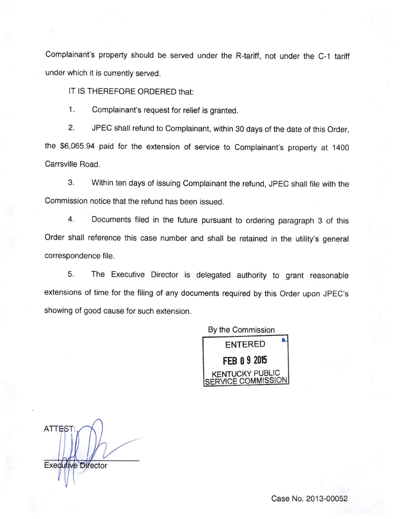Complainant's property should be served under the R-tariff, not under the 0-1 tariff under which it is currently served.

IT IS THEREFORE ORDERED that:

1. Complainant's request for relief is granted.

2. JPEC shall refund to Complainant, within 30 days of the date of this Order, the \$6,065.94 paid for the extension of service to Complainant's property at 1400 Carrsville Road.

3. Within ten days of issuing Complainant the refund, JPEC shall file with the Commission notice that the refund has been issued.

4. Documents filed in the future pursuant to ordering paragraph 3 of this Order shall reference this case number and shall be retained in the utility's general correspondence file.

5. The Executive Director is delegated authority to grant reasonable extensions of time for the filing of any documents required by this Order upon JPEC's showing of good cause for such extension.



**ATTEST Executive Director**